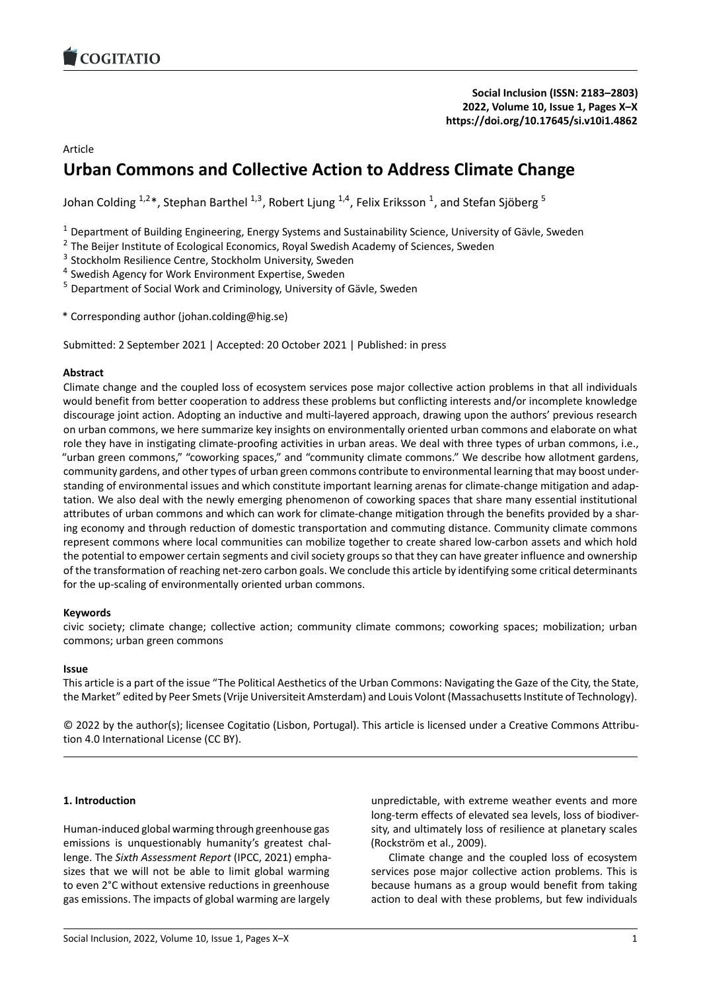

**[Social Inclusion](https://www.cogitatiopress.com/socialinclusion) (ISSN: 2183–2803) 2022, Volume 10, Issue 1, Pages X–X <https://doi.org/10.17645/si.v10i1.4862>**

Article

# **Urban Commons and Collective Action to Address Climate Change**

Johan Colding  $^{1,2}$ \*, Stephan Barthel  $^{1,3}$ , Robert Ljung  $^{1,4}$ , Felix Eriksson  $^1$ , and Stefan Sjöberg  $^5$ 

 $1$  Department of Building Engineering, Energy Systems and Sustainability Science, University of Gävle, Sweden

<sup>2</sup> The Beijer Institute of Ecological Economics, Royal Swedish Academy of Sciences, Sweden

<sup>3</sup> Stockholm Resilience Centre, Stockholm University, Sweden

<sup>4</sup> Swedish Agency for Work Environment Expertise, Sweden

<sup>5</sup> Department of Social Work and Criminology, University of Gävle, Sweden

\* Corresponding author (johan.colding@hig.se)

Submitted: 2 September 2021 | Accepted: 20 October 2021 | Published: in press

#### **Abstract**

Climate change and the coupled loss of ecosystem services pose major collective action problems in that all individuals would benefit from better cooperation to address these problems but conflicting interests and/or incomplete knowledge discourage joint action. Adopting an inductive and multi‐layered approach, drawing upon the authors' previous research on urban commons, we here summarize key insights on environmentally oriented urban commons and elaborate on what role they have in instigating climate‐proofing activities in urban areas. We deal with three types of urban commons, i.e., "urban green commons," "coworking spaces," and "community climate commons." We describe how allotment gardens, community gardens, and other types of urban green commons contribute to environmental learning that may boost under‐ standing of environmental issues and which constitute important learning arenas for climate-change mitigation and adaptation. We also deal with the newly emerging phenomenon of coworking spaces that share many essential institutional attributes of urban commons and which can work for climate-change mitigation through the benefits provided by a sharing economy and through reduction of domestic transportation and commuting distance. Community climate commons represent commons where local communities can mobilize together to create shared low‐carbon assets and which hold the potential to empower certain segments and civil society groups so that they can have greater influence and ownership of the transformation of reaching net‐zero carbon goals. We conclude this article by identifying some critical determinants for the up‐scaling of environmentally oriented urban commons.

#### **Keywords**

civic society; climate change; collective action; community climate commons; coworking spaces; mobilization; urban commons; urban green commons

#### **Issue**

This article is a part of the issue "The Political Aesthetics of the Urban Commons: Navigating the Gaze of the City, the State, the Market" edited by Peer Smets (Vrije Universiteit Amsterdam) and Louis Volont (Massachusetts Institute of Technology).

© 2022 by the author(s); licensee Cogitatio (Lisbon, Portugal). This article is licensed under a Creative Commons Attribu‐ tion 4.0 International License (CC BY).

#### **1. Introduction**

Human‐induced global warming through greenhouse gas emissions is unquestionably humanity's greatest challenge. The *Sixth Assessment Report* (IPCC, 2021) empha‐ sizes that we will not be able to limit global warming to even 2°C without extensive reductions in greenhouse gas emissions. The impacts of global warming are largely

unpredictable, with extreme weather events and more long‐term effects of elevated sea levels, loss of biodiver‐ sity, and ultimately loss of resilience at planetary scales (Rockström et al., 2009).

Climate change and the coupled loss of ecosystem services pose major collective action problems. This is because humans as a group would benefit from taking action to deal with these problems, but few individuals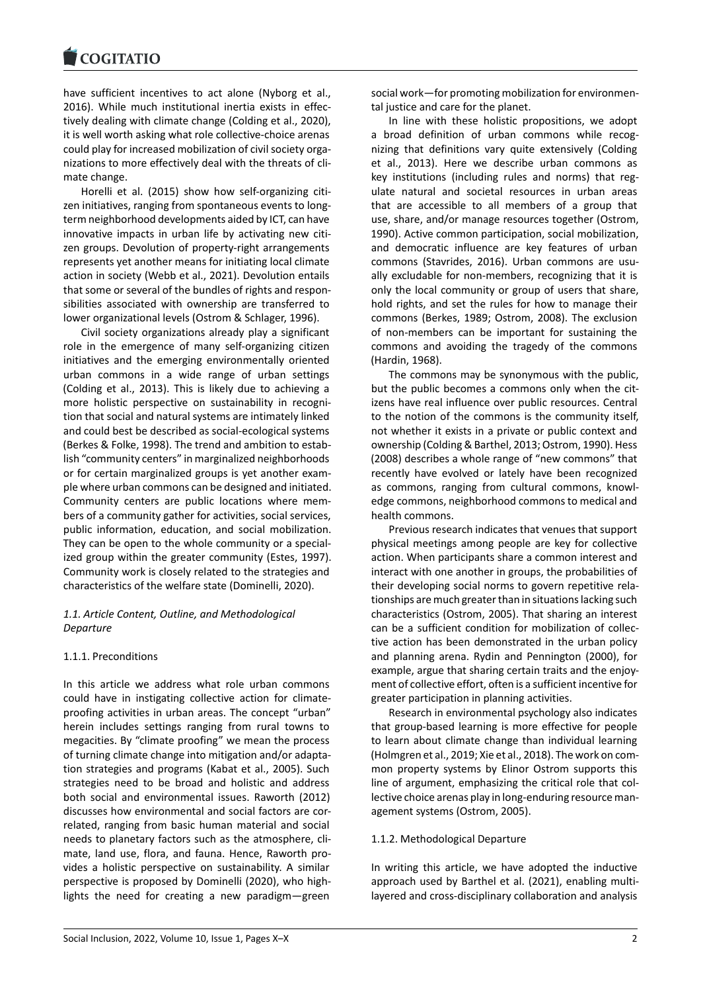have sufficient incentives to act alone (Nyborg et al., 2016). While much institutional inertia exists in effec‐ tively dealing with climate change (Colding et al., 2020), it is well worth asking what role collective‐choice arenas could play for increased mobilization of civil society orga‐ nizations to more effectively deal with the threats of cli‐ mate change.

Horelli et al. (2015) show how self‐organizing citi‐ zen initiatives, ranging from spontaneous events to long‐ term neighborhood developments aided by ICT, can have innovative impacts in urban life by activating new citi‐ zen groups. Devolution of property-right arrangements represents yet another means for initiating local climate action in society (Webb et al., 2021). Devolution entails that some or several of the bundles of rights and respon‐ sibilities associated with ownership are transferred to lower organizational levels (Ostrom & Schlager, 1996).

Civil society organizations already play a significant role in the emergence of many self‐organizing citizen initiatives and the emerging environmentally oriented urban commons in a wide range of urban settings (Colding et al., 2013). This is likely due to achieving a more holistic perspective on sustainability in recognition that social and natural systems are intimately linked and could best be described as social‐ecological systems (Berkes & Folke, 1998). The trend and ambition to estab‐ lish "community centers" in marginalized neighborhoods or for certain marginalized groups is yet another exam‐ ple where urban commons can be designed and initiated. Community centers are public locations where mem‐ bers of a community gather for activities, social services, public information, education, and social mobilization. They can be open to the whole community or a special‐ ized group within the greater community (Estes, 1997). Community work is closely related to the strategies and characteristics of the welfare state (Dominelli, 2020).

# *1.1. Article Content, Outline, and Methodological Departure*

## 1.1.1. Preconditions

In this article we address what role urban commons could have in instigating collective action for climate‐ proofing activities in urban areas. The concept "urban" herein includes settings ranging from rural towns to megacities. By "climate proofing" we mean the process of turning climate change into mitigation and/or adapta‐ tion strategies and programs (Kabat et al., 2005). Such strategies need to be broad and holistic and address both social and environmental issues. Raworth (2012) discusses how environmental and social factors are cor‐ related, ranging from basic human material and social needs to planetary factors such as the atmosphere, cli‐ mate, land use, flora, and fauna. Hence, Raworth pro‐ vides a holistic perspective on sustainability. A similar perspective is proposed by Dominelli (2020), who high‐ lights the need for creating a new paradigm—green

social work—for promoting mobilization for environmen‐ tal justice and care for the planet.

In line with these holistic propositions, we adopt a broad definition of urban commons while recognizing that definitions vary quite extensively (Colding et al., 2013). Here we describe urban commons as key institutions (including rules and norms) that reg‐ ulate natural and societal resources in urban areas that are accessible to all members of a group that use, share, and/or manage resources together (Ostrom, 1990). Active common participation, social mobilization, and democratic influence are key features of urban commons (Stavrides, 2016). Urban commons are usu‐ ally excludable for non‐members, recognizing that it is only the local community or group of users that share, hold rights, and set the rules for how to manage their commons (Berkes, 1989; Ostrom, 2008). The exclusion of non‐members can be important for sustaining the commons and avoiding the tragedy of the commons (Hardin, 1968).

The commons may be synonymous with the public, but the public becomes a commons only when the citizens have real influence over public resources. Central to the notion of the commons is the community itself, not whether it exists in a private or public context and ownership (Colding & Barthel, 2013; Ostrom, 1990). Hess (2008) describes a whole range of "new commons" that recently have evolved or lately have been recognized as commons, ranging from cultural commons, knowl‐ edge commons, neighborhood commons to medical and health commons.

Previous research indicates that venues that support physical meetings among people are key for collective action. When participants share a common interest and interact with one another in groups, the probabilities of their developing social norms to govern repetitive rela‐ tionships are much greater than in situations lacking such characteristics (Ostrom, 2005). That sharing an interest can be a sufficient condition for mobilization of collec‐ tive action has been demonstrated in the urban policy and planning arena. Rydin and Pennington (2000), for example, argue that sharing certain traits and the enjoy‐ ment of collective effort, often is a sufficient incentive for greater participation in planning activities.

Research in environmental psychology also indicates that group‐based learning is more effective for people to learn about climate change than individual learning (Holmgren et al., 2019; Xie et al., 2018). The work on com‐ mon property systems by Elinor Ostrom supports this line of argument, emphasizing the critical role that col‐ lective choice arenas play in long-enduring resource management systems (Ostrom, 2005).

## 1.1.2. Methodological Departure

In writing this article, we have adopted the inductive approach used by Barthel et al. (2021), enabling multi‐ layered and cross‐disciplinary collaboration and analysis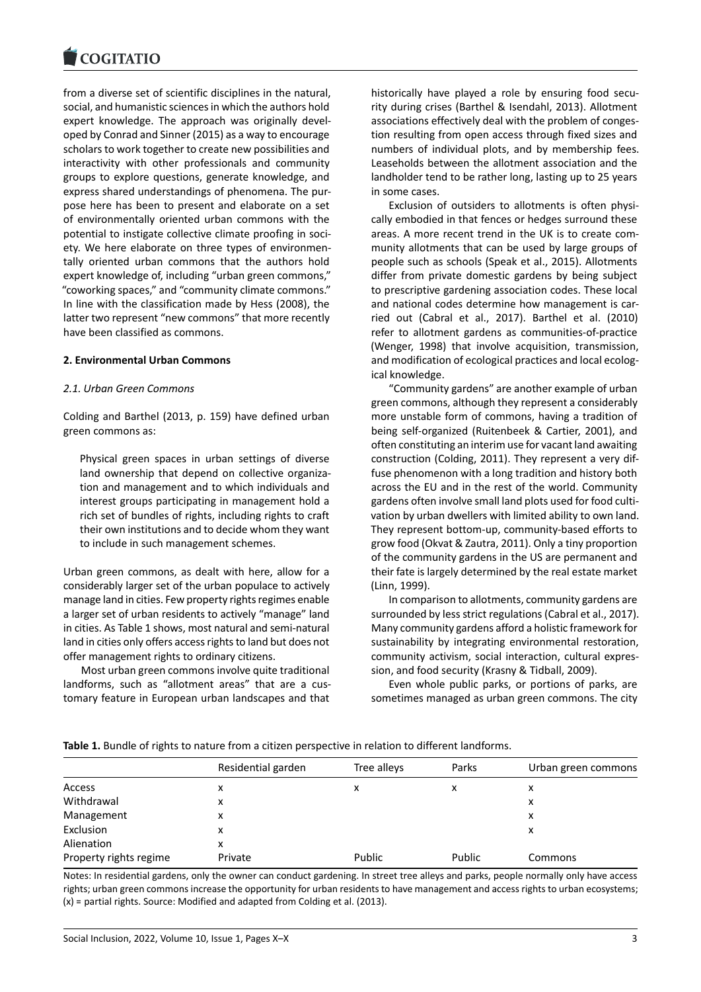from a diverse set of scientific disciplines in the natural, social, and humanistic sciences in which the authors hold expert knowledge. The approach was originally devel‐ oped by Conrad and Sinner (2015) as a way to encourage scholars to work together to create new possibilities and interactivity with other professionals and community groups to explore questions, generate knowledge, and express shared understandings of phenomena. The pur‐ pose here has been to present and elaborate on a set of environmentally oriented urban commons with the potential to instigate collective climate proofing in society. We here elaborate on three types of environmen‐ tally oriented urban commons that the authors hold expert knowledge of, including "urban green commons," "coworking spaces," and "community climate commons." In line with the classification made by Hess (2008), the latter two represent "new commons" that more recently have been classified as commons.

## **2. Environmental Urban Commons**

#### *2.1. Urban Green Commons*

Colding and Barthel (2013, p. 159) have defined urban green commons as:

Physical green spaces in urban settings of diverse land ownership that depend on collective organization and management and to which individuals and interest groups participating in management hold a rich set of bundles of rights, including rights to craft their own institutions and to decide whom they want to include in such management schemes.

Urban green commons, as dealt with here, allow for a considerably larger set of the urban populace to actively manage land in cities. Few property rights regimes enable a larger set of urban residents to actively "manage" land in cities. As Table 1 shows, most natural and semi‐natural land in cities only offers access rights to land but does not offer management rights to ordinary citizens.

Most urban green commons involve quite traditional landforms, such as "allotment areas" that are a customary feature in European urban landscapes and that

historically have played a role by ensuring food secu‐ rity during crises (Barthel & Isendahl, 2013). Allotment associations effectively deal with the problem of conges‐ tion resulting from open access through fixed sizes and numbers of individual plots, and by membership fees. Leaseholds between the allotment association and the landholder tend to be rather long, lasting up to 25 years in some cases.

Exclusion of outsiders to allotments is often physically embodied in that fences or hedges surround these areas. A more recent trend in the UK is to create com‐ munity allotments that can be used by large groups of people such as schools (Speak et al., 2015). Allotments differ from private domestic gardens by being subject to prescriptive gardening association codes. These local and national codes determine how management is carried out (Cabral et al., 2017). Barthel et al. (2010) refer to allotment gardens as communities‐of‐practice (Wenger, 1998) that involve acquisition, transmission, and modification of ecological practices and local ecological knowledge.

"Community gardens" are another example of urban green commons, although they represent a considerably more unstable form of commons, having a tradition of being self-organized (Ruitenbeek & Cartier, 2001), and often constituting an interim use for vacant land awaiting construction (Colding, 2011). They represent a very dif‐ fuse phenomenon with a long tradition and history both across the EU and in the rest of the world. Community gardens often involve small land plots used for food culti‐ vation by urban dwellers with limited ability to own land. They represent bottom‐up, community‐based efforts to grow food (Okvat & Zautra, 2011). Only a tiny proportion of the community gardens in the US are permanent and their fate is largely determined by the real estate market (Linn, 1999).

In comparison to allotments, community gardens are surrounded by less strict regulations (Cabral et al., 2017). Many community gardens afford a holistic framework for sustainability by integrating environmental restoration, community activism, social interaction, cultural expres‐ sion, and food security (Krasny & Tidball, 2009).

Even whole public parks, or portions of parks, are sometimes managed as urban green commons. The city

|  |  | Table 1. Bundle of rights to nature from a citizen perspective in relation to different landforms. |  |  |
|--|--|----------------------------------------------------------------------------------------------------|--|--|
|  |  |                                                                                                    |  |  |

|                        | Residential garden | Tree alleys | Parks  | Urban green commons |
|------------------------|--------------------|-------------|--------|---------------------|
| Access                 | x                  | x           | x      | х                   |
| Withdrawal             | x                  |             |        | x                   |
| Management             | x                  |             |        | x                   |
| Exclusion              | x                  |             |        | x                   |
| Alienation             | x                  |             |        |                     |
| Property rights regime | Private            | Public      | Public | Commons             |

Notes: In residential gardens, only the owner can conduct gardening. In street tree alleys and parks, people normally only have access rights; urban green commons increase the opportunity for urban residents to have management and access rights to urban ecosystems; (x) = partial rights. Source: Modified and adapted from Colding et al. (2013).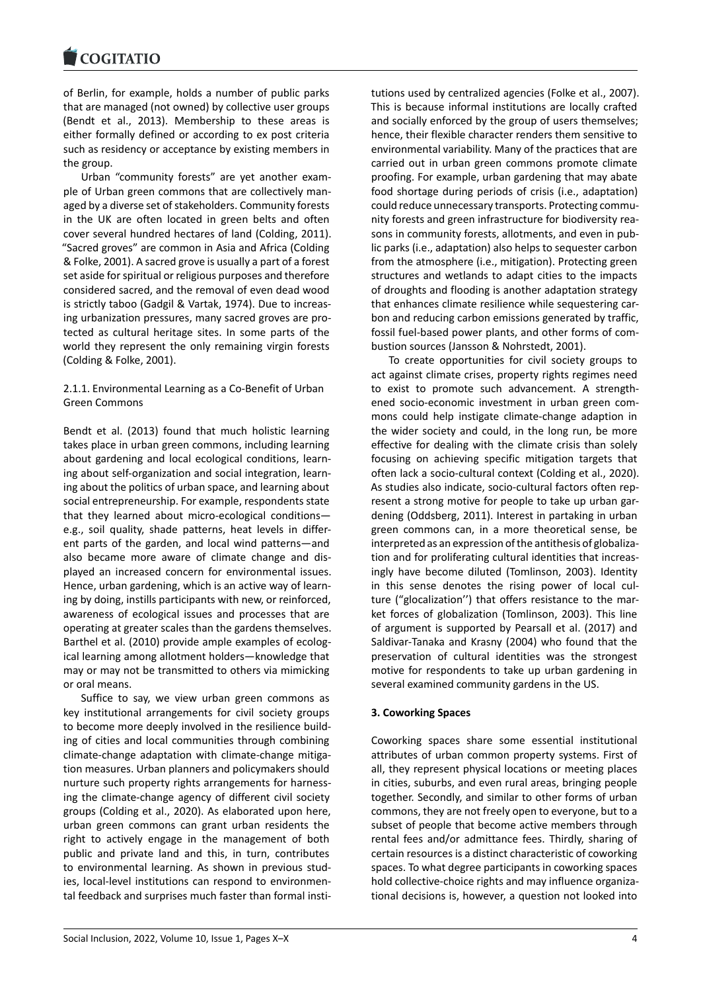of Berlin, for example, holds a number of public parks that are managed (not owned) by collective user groups (Bendt et al., 2013). Membership to these areas is either formally defined or according to ex post criteria such as residency or acceptance by existing members in the group.

Urban "community forests" are yet another exam‐ ple of Urban green commons that are collectively managed by a diverse set of stakeholders. Community forests in the UK are often located in green belts and often cover several hundred hectares of land (Colding, 2011). "Sacred groves" are common in Asia and Africa (Colding & Folke, 2001). A sacred grove is usually a part of a forest set aside for spiritual or religious purposes and therefore considered sacred, and the removal of even dead wood is strictly taboo (Gadgil & Vartak, 1974). Due to increas‐ ing urbanization pressures, many sacred groves are pro‐ tected as cultural heritage sites. In some parts of the world they represent the only remaining virgin forests (Colding & Folke, 2001).

# 2.1.1. Environmental Learning as a Co‐Benefit of Urban Green Commons

Bendt et al. (2013) found that much holistic learning takes place in urban green commons, including learning about gardening and local ecological conditions, learn‐ ing about self‐organization and social integration, learn‐ ing about the politics of urban space, and learning about social entrepreneurship. For example, respondents state that they learned about micro‐ecological conditions e.g., soil quality, shade patterns, heat levels in differ‐ ent parts of the garden, and local wind patterns—and also became more aware of climate change and dis‐ played an increased concern for environmental issues. Hence, urban gardening, which is an active way of learning by doing, instills participants with new, or reinforced, awareness of ecological issues and processes that are operating at greater scales than the gardens themselves. Barthel et al. (2010) provide ample examples of ecolog‐ ical learning among allotment holders—knowledge that may or may not be transmitted to others via mimicking or oral means.

Suffice to say, we view urban green commons as key institutional arrangements for civil society groups to become more deeply involved in the resilience building of cities and local communities through combining climate‐change adaptation with climate‐change mitiga‐ tion measures. Urban planners and policymakers should nurture such property rights arrangements for harness‐ ing the climate‐change agency of different civil society groups (Colding et al., 2020). As elaborated upon here, urban green commons can grant urban residents the right to actively engage in the management of both public and private land and this, in turn, contributes to environmental learning. As shown in previous stud‐ ies, local-level institutions can respond to environmental feedback and surprises much faster than formal insti-

tutions used by centralized agencies (Folke et al., 2007). This is because informal institutions are locally crafted and socially enforced by the group of users themselves; hence, their flexible character renders them sensitive to environmental variability. Many of the practices that are carried out in urban green commons promote climate proofing. For example, urban gardening that may abate food shortage during periods of crisis (i.e., adaptation) could reduce unnecessary transports. Protecting commu‐ nity forests and green infrastructure for biodiversity rea‐ sons in community forests, allotments, and even in pub‐ lic parks (i.e., adaptation) also helps to sequester carbon from the atmosphere (i.e., mitigation). Protecting green structures and wetlands to adapt cities to the impacts of droughts and flooding is another adaptation strategy that enhances climate resilience while sequestering car‐ bon and reducing carbon emissions generated by traffic, fossil fuel‐based power plants, and other forms of com‐ bustion sources (Jansson & Nohrstedt, 2001).

To create opportunities for civil society groups to act against climate crises, property rights regimes need to exist to promote such advancement. A strength‐ ened socio‐economic investment in urban green com‐ mons could help instigate climate‐change adaption in the wider society and could, in the long run, be more effective for dealing with the climate crisis than solely focusing on achieving specific mitigation targets that often lack a socio‐cultural context (Colding et al., 2020). As studies also indicate, socio‐cultural factors often rep‐ resent a strong motive for people to take up urban gar‐ dening (Oddsberg, 2011). Interest in partaking in urban green commons can, in a more theoretical sense, be interpreted as an expression of the antithesis of globaliza‐ tion and for proliferating cultural identities that increas‐ ingly have become diluted (Tomlinson, 2003). Identity in this sense denotes the rising power of local culture ("glocalization'') that offers resistance to the mar‐ ket forces of globalization (Tomlinson, 2003). This line of argument is supported by Pearsall et al. (2017) and Saldivar‐Tanaka and Krasny (2004) who found that the preservation of cultural identities was the strongest motive for respondents to take up urban gardening in several examined community gardens in the US.

## **3. Coworking Spaces**

Coworking spaces share some essential institutional attributes of urban common property systems. First of all, they represent physical locations or meeting places in cities, suburbs, and even rural areas, bringing people together. Secondly, and similar to other forms of urban commons, they are not freely open to everyone, but to a subset of people that become active members through rental fees and/or admittance fees. Thirdly, sharing of certain resources is a distinct characteristic of coworking spaces. To what degree participants in coworking spaces hold collective‐choice rights and may influence organiza‐ tional decisions is, however, a question not looked into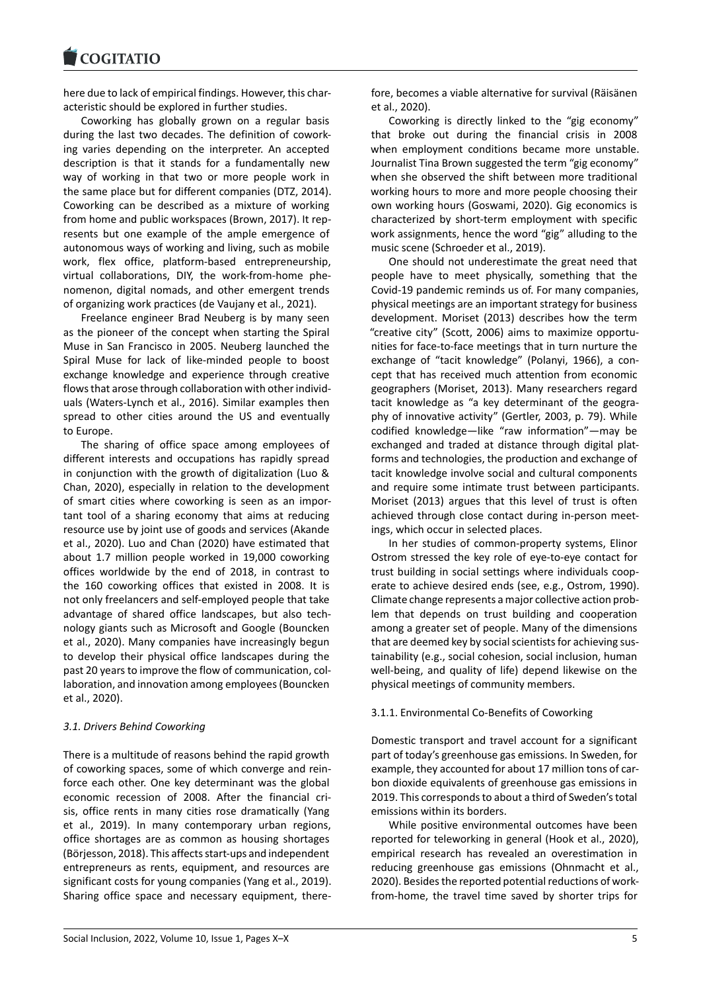here due to lack of empirical findings. However, this characteristic should be explored in further studies.

Coworking has globally grown on a regular basis during the last two decades. The definition of cowork‐ ing varies depending on the interpreter. An accepted description is that it stands for a fundamentally new way of working in that two or more people work in the same place but for different companies (DTZ, 2014). Coworking can be described as a mixture of working from home and public workspaces (Brown, 2017). It represents but one example of the ample emergence of autonomous ways of working and living, such as mobile work, flex office, platform‐based entrepreneurship, virtual collaborations, DIY, the work‐from‐home phe‐ nomenon, digital nomads, and other emergent trends of organizing work practices (de Vaujany et al., 2021).

Freelance engineer Brad Neuberg is by many seen as the pioneer of the concept when starting the Spiral Muse in San Francisco in 2005. Neuberg launched the Spiral Muse for lack of like‐minded people to boost exchange knowledge and experience through creative flows that arose through collaboration with other individ‐ uals (Waters‐Lynch et al., 2016). Similar examples then spread to other cities around the US and eventually to Europe.

The sharing of office space among employees of different interests and occupations has rapidly spread in conjunction with the growth of digitalization (Luo & Chan, 2020), especially in relation to the development of smart cities where coworking is seen as an impor‐ tant tool of a sharing economy that aims at reducing resource use by joint use of goods and services (Akande et al., 2020). Luo and Chan (2020) have estimated that about 1.7 million people worked in 19,000 coworking offices worldwide by the end of 2018, in contrast to the 160 coworking offices that existed in 2008. It is not only freelancers and self‐employed people that take advantage of shared office landscapes, but also tech‐ nology giants such as Microsoft and Google (Bouncken et al., 2020). Many companies have increasingly begun to develop their physical office landscapes during the past 20 years to improve the flow of communication, col‐ laboration, and innovation among employees (Bouncken et al., 2020).

## *3.1. Drivers Behind Coworking*

There is a multitude of reasons behind the rapid growth of coworking spaces, some of which converge and rein‐ force each other. One key determinant was the global economic recession of 2008. After the financial cri‐ sis, office rents in many cities rose dramatically (Yang et al., 2019). In many contemporary urban regions, office shortages are as common as housing shortages (Börjesson, 2018). This affects start‐ups and independent entrepreneurs as rents, equipment, and resources are significant costs for young companies (Yang et al., 2019). Sharing office space and necessary equipment, there‐

fore, becomes a viable alternative for survival (Räisänen et al., 2020).

Coworking is directly linked to the "gig economy" that broke out during the financial crisis in 2008 when employment conditions became more unstable. Journalist Tina Brown suggested the term "gig economy" when she observed the shift between more traditional working hours to more and more people choosing their own working hours (Goswami, 2020). Gig economics is characterized by short‐term employment with specific work assignments, hence the word "gig" alluding to the music scene (Schroeder et al., 2019).

One should not underestimate the great need that people have to meet physically, something that the Covid‐19 pandemic reminds us of. For many companies, physical meetings are an important strategy for business development. Moriset (2013) describes how the term "creative city" (Scott, 2006) aims to maximize opportu‐ nities for face‐to‐face meetings that in turn nurture the exchange of "tacit knowledge" (Polanyi, 1966), a con‐ cept that has received much attention from economic geographers (Moriset, 2013). Many researchers regard tacit knowledge as "a key determinant of the geogra‐ phy of innovative activity" (Gertler, 2003, p. 79). While codified knowledge—like "raw information"—may be exchanged and traded at distance through digital plat‐ forms and technologies, the production and exchange of tacit knowledge involve social and cultural components and require some intimate trust between participants. Moriset (2013) argues that this level of trust is often achieved through close contact during in‐person meet‐ ings, which occur in selected places.

In her studies of common‐property systems, Elinor Ostrom stressed the key role of eye‐to‐eye contact for trust building in social settings where individuals coop‐ erate to achieve desired ends (see, e.g., Ostrom, 1990). Climate change represents a major collective action prob‐ lem that depends on trust building and cooperation among a greater set of people. Many of the dimensions that are deemed key by social scientists for achieving sus‐ tainability (e.g., social cohesion, social inclusion, human well-being, and quality of life) depend likewise on the physical meetings of community members.

## 3.1.1. Environmental Co‐Benefits of Coworking

Domestic transport and travel account for a significant part of today's greenhouse gas emissions. In Sweden, for example, they accounted for about 17 million tons of carbon dioxide equivalents of greenhouse gas emissions in 2019. This corresponds to about a third of Sweden's total emissions within its borders.

While positive environmental outcomes have been reported for teleworking in general (Hook et al., 2020), empirical research has revealed an overestimation in reducing greenhouse gas emissions (Ohnmacht et al., 2020). Besides the reported potential reductions of work‐ from-home, the travel time saved by shorter trips for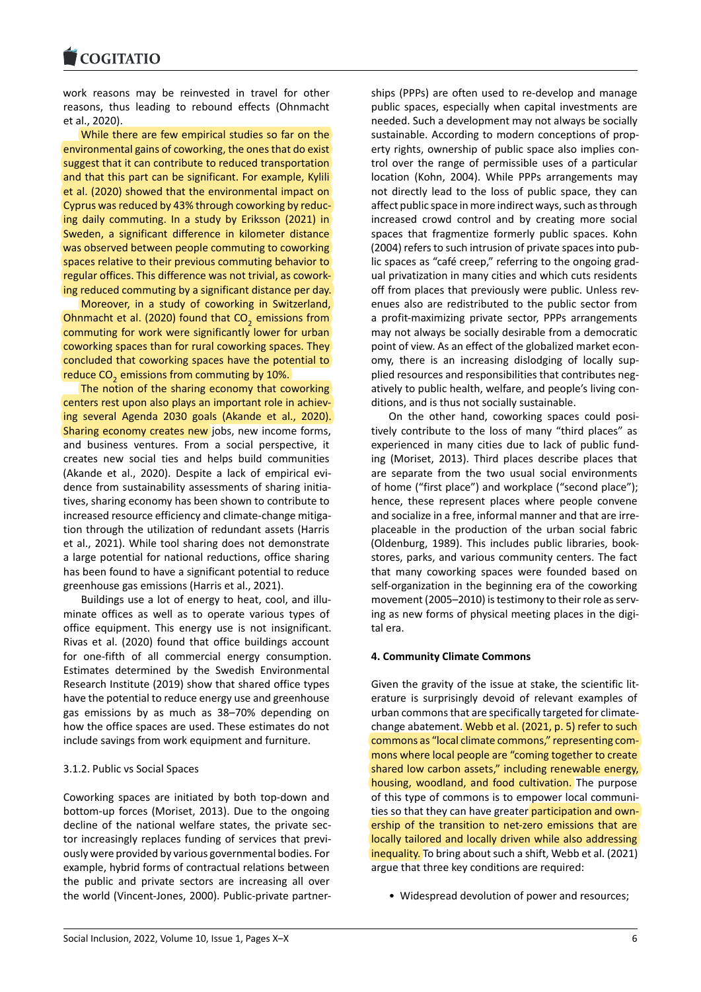# **COGITATIO**

work reasons may be reinvested in travel for other reasons, thus leading to rebound effects (Ohnmacht et al., 2020).

While there are few empirical studies so far on the environmental gains of coworking, the ones that do exist suggest that it can contribute to reduced transportation and that this part can be significant. For example, Kylili et al. (2020) showed that the environmental impact on Cyprus was reduced by 43% through coworking by reduc‐ ing daily commuting. In a study by Eriksson (2021) in Sweden, a significant difference in kilometer distance was observed between people commuting to coworking spaces relative to their previous commuting behavior to regular offices. This difference was not trivial, as cowork‐ ing reduced commuting by a significant distance per day.

Moreover, in a study of coworking in Switzerland, Ohnmacht et al. (2020) found that  $\mathsf{CO}_2$  emissions from commuting for work were significantly lower for urban coworking spaces than for rural coworking spaces. They concluded that coworking spaces have the potential to reduce CO<sub>2</sub> emissions from commuting by 10%.

The notion of the sharing economy that coworking centers rest upon also plays an important role in achieving several Agenda 2030 goals (Akande et al., 2020). Sharing economy creates new jobs, new income forms, and business ventures. From a social perspective, it creates new social ties and helps build communities (Akande et al., 2020). Despite a lack of empirical evi‐ dence from sustainability assessments of sharing initia‐ tives, sharing economy has been shown to contribute to increased resource efficiency and climate‐change mitiga‐ tion through the utilization of redundant assets (Harris et al., 2021). While tool sharing does not demonstrate a large potential for national reductions, office sharing has been found to have a significant potential to reduce greenhouse gas emissions (Harris et al., 2021).

Buildings use a lot of energy to heat, cool, and illu‐ minate offices as well as to operate various types of office equipment. This energy use is not insignificant. Rivas et al. (2020) found that office buildings account for one-fifth of all commercial energy consumption. Estimates determined by the Swedish Environmental Research Institute (2019) show that shared office types have the potential to reduce energy use and greenhouse gas emissions by as much as 38–70% depending on how the office spaces are used. These estimates do not include savings from work equipment and furniture.

#### 3.1.2. Public vs Social Spaces

Coworking spaces are initiated by both top‐down and bottom‐up forces (Moriset, 2013). Due to the ongoing decline of the national welfare states, the private sec‐ tor increasingly replaces funding of services that previ‐ ously were provided by various governmental bodies. For example, hybrid forms of contractual relations between the public and private sectors are increasing all over the world (Vincent‐Jones, 2000). Public‐private partner‐

ships (PPPs) are often used to re‐develop and manage public spaces, especially when capital investments are needed. Such a development may not always be socially sustainable. According to modern conceptions of property rights, ownership of public space also implies con‐ trol over the range of permissible uses of a particular location (Kohn, 2004). While PPPs arrangements may not directly lead to the loss of public space, they can affect public space in more indirect ways, such as through increased crowd control and by creating more social spaces that fragmentize formerly public spaces. Kohn (2004) refers to such intrusion of private spaces into pub‐ lic spaces as "café creep," referring to the ongoing grad‐ ual privatization in many cities and which cuts residents off from places that previously were public. Unless revenues also are redistributed to the public sector from a profit-maximizing private sector, PPPs arrangements may not always be socially desirable from a democratic point of view. As an effect of the globalized market econ‐ omy, there is an increasing dislodging of locally sup‐ plied resources and responsibilities that contributes neg‐ atively to public health, welfare, and people's living con‐ ditions, and is thus not socially sustainable.

On the other hand, coworking spaces could posi‐ tively contribute to the loss of many "third places" as experienced in many cities due to lack of public fund‐ ing (Moriset, 2013). Third places describe places that are separate from the two usual social environments of home ("first place") and workplace ("second place"); hence, these represent places where people convene and socialize in a free, informal manner and that are irre‐ placeable in the production of the urban social fabric (Oldenburg, 1989). This includes public libraries, book‐ stores, parks, and various community centers. The fact that many coworking spaces were founded based on self-organization in the beginning era of the coworking movement (2005–2010) is testimony to their role as serv‐ ing as new forms of physical meeting places in the digi‐ tal era.

#### **4. Community Climate Commons**

Given the gravity of the issue at stake, the scientific lit‐ erature is surprisingly devoid of relevant examples of urban commons that are specifically targeted for climate‐ change abatement. Webb et al. (2021, p. 5) refer to such commons as "local climate commons," representing com‐ mons where local people are "coming together to create shared low carbon assets," including renewable energy, housing, woodland, and food cultivation. The purpose of this type of commons is to empower local communi‐ ties so that they can have greater participation and ownership of the transition to net‐zero emissions that are locally tailored and locally driven while also addressing inequality. To bring about such a shift, Webb et al. (2021) argue that three key conditions are required:

• Widespread devolution of power and resources;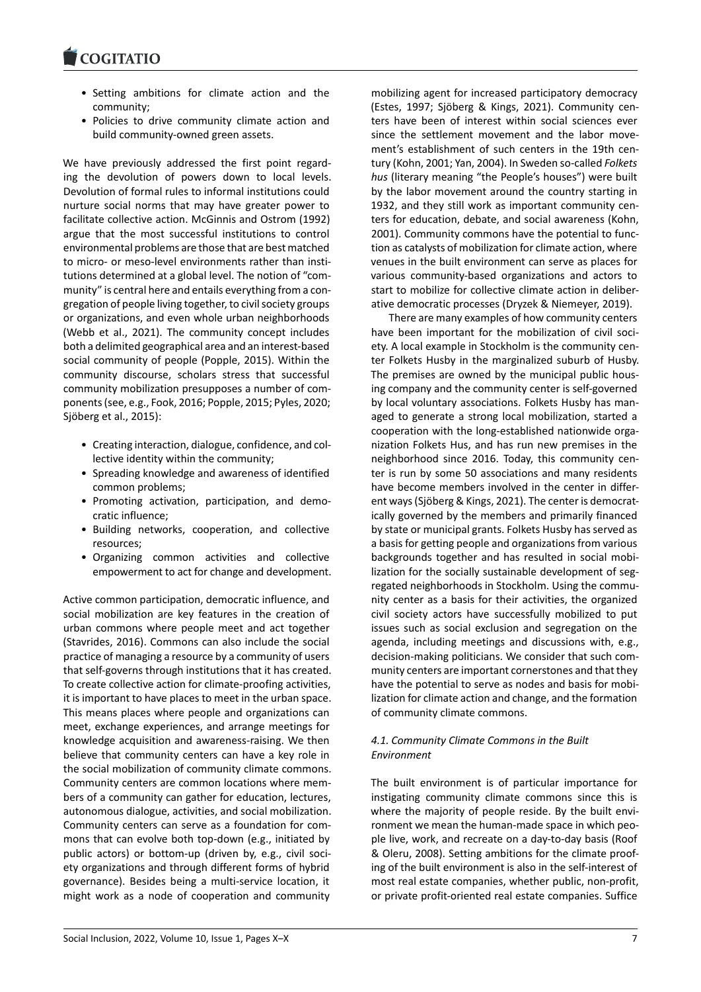- Setting ambitions for climate action and the community;
- Policies to drive community climate action and build community‐owned green assets.

We have previously addressed the first point regarding the devolution of powers down to local levels. Devolution of formal rules to informal institutions could nurture social norms that may have greater power to facilitate collective action. McGinnis and Ostrom (1992) argue that the most successful institutions to control environmental problems are those that are best matched to micro- or meso-level environments rather than institutions determined at a global level. The notion of "com‐ munity" is central here and entails everything from a con‐ gregation of people living together, to civil society groups or organizations, and even whole urban neighborhoods (Webb et al., 2021). The community concept includes both a delimited geographical area and an interest‐based social community of people (Popple, 2015). Within the community discourse, scholars stress that successful community mobilization presupposes a number of com‐ ponents (see, e.g., Fook, 2016; Popple, 2015; Pyles, 2020; Sjöberg et al., 2015):

- Creating interaction, dialogue, confidence, and col‐ lective identity within the community;
- Spreading knowledge and awareness of identified common problems;
- Promoting activation, participation, and demo‐ cratic influence;
- Building networks, cooperation, and collective resources;
- Organizing common activities and collective empowerment to act for change and development.

Active common participation, democratic influence, and social mobilization are key features in the creation of urban commons where people meet and act together (Stavrides, 2016). Commons can also include the social practice of managing a resource by a community of users that self‐governs through institutions that it has created. To create collective action for climate‐proofing activities, it is important to have places to meet in the urban space. This means places where people and organizations can meet, exchange experiences, and arrange meetings for knowledge acquisition and awareness‐raising. We then believe that community centers can have a key role in the social mobilization of community climate commons. Community centers are common locations where mem‐ bers of a community can gather for education, lectures, autonomous dialogue, activities, and social mobilization. Community centers can serve as a foundation for com‐ mons that can evolve both top-down (e.g., initiated by public actors) or bottom-up (driven by, e.g., civil society organizations and through different forms of hybrid governance). Besides being a multi‐service location, it might work as a node of cooperation and community

mobilizing agent for increased participatory democracy (Estes, 1997; Sjöberg & Kings, 2021). Community cen‐ ters have been of interest within social sciences ever since the settlement movement and the labor movement's establishment of such centers in the 19th century (Kohn, 2001; Yan, 2004). In Sweden so‐called *Folkets hus* (literary meaning "the People's houses") were built by the labor movement around the country starting in 1932, and they still work as important community cen‐ ters for education, debate, and social awareness (Kohn, 2001). Community commons have the potential to func‐ tion as catalysts of mobilization for climate action, where venues in the built environment can serve as places for various community‐based organizations and actors to start to mobilize for collective climate action in deliber‐ ative democratic processes (Dryzek & Niemeyer, 2019).

There are many examples of how community centers have been important for the mobilization of civil society. A local example in Stockholm is the community cen‐ ter Folkets Husby in the marginalized suburb of Husby. The premises are owned by the municipal public housing company and the community center is self‐governed by local voluntary associations. Folkets Husby has man‐ aged to generate a strong local mobilization, started a cooperation with the long‐established nationwide orga‐ nization Folkets Hus, and has run new premises in the neighborhood since 2016. Today, this community cen‐ ter is run by some 50 associations and many residents have become members involved in the center in differ‐ ent ways (Sjöberg & Kings, 2021). The center is democrat‐ ically governed by the members and primarily financed by state or municipal grants. Folkets Husby has served as a basis for getting people and organizations from various backgrounds together and has resulted in social mobi‐ lization for the socially sustainable development of seg‐ regated neighborhoods in Stockholm. Using the commu‐ nity center as a basis for their activities, the organized civil society actors have successfully mobilized to put issues such as social exclusion and segregation on the agenda, including meetings and discussions with, e.g., decision‐making politicians. We consider that such com‐ munity centers are important cornerstones and that they have the potential to serve as nodes and basis for mobi‐ lization for climate action and change, and the formation of community climate commons.

# *4.1. Community Climate Commons in the Built Environment*

The built environment is of particular importance for instigating community climate commons since this is where the majority of people reside. By the built environment we mean the human‐made space in which peo‐ ple live, work, and recreate on a day‐to‐day basis (Roof & Oleru, 2008). Setting ambitions for the climate proof‐ ing of the built environment is also in the self‐interest of most real estate companies, whether public, non‐profit, or private profit‐oriented real estate companies. Suffice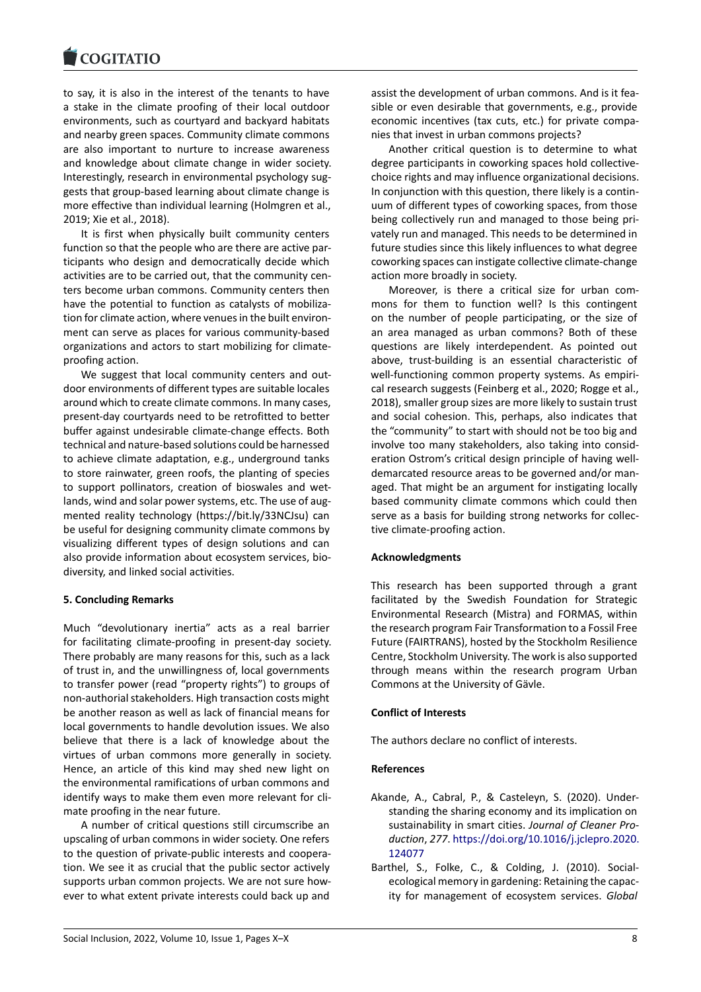to say, it is also in the interest of the tenants to have a stake in the climate proofing of their local outdoor environments, such as courtyard and backyard habitats and nearby green spaces. Community climate commons are also important to nurture to increase awareness and knowledge about climate change in wider society. Interestingly, research in environmental psychology sug‐ gests that group‐based learning about climate change is more effective than individual learning (Holmgren et al., 2019; Xie et al., 2018).

It is first when physically built community centers function so that the people who are there are active par‐ ticipants who design and democratically decide which activities are to be carried out, that the community cen‐ ters become urban commons. Community centers then have the potential to function as catalysts of mobilization for climate action, where venues in the built environ‐ ment can serve as places for various community‐based organizations and actors to start mobilizing for climate‐ proofing action.

We suggest that local community centers and outdoor environments of different types are suitable locales around which to create climate commons. In many cases, present‐day courtyards need to be retrofitted to better buffer against undesirable climate‐change effects. Both technical and nature‐based solutions could be harnessed to achieve climate adaptation, e.g., underground tanks to store rainwater, green roofs, the planting of species to support pollinators, creation of bioswales and wet‐ lands, wind and solar power systems, etc. The use of augmented reality technology(<https://bit.ly/33NCJsu>) can be useful for designing community climate commons by visualizing different types of design solutions and can also provide information about ecosystem services, bio‐ diversity, and linked social activities.

## **5. Concluding Remarks**

Much "devolutionary inertia" acts as a real barrier for facilitating climate‐proofing in present‐day society. There probably are many reasons for this, such as a lack of trust in, and the unwillingness of, local governments to transfer power (read "property rights") to groups of non‐authorial stakeholders. High transaction costs might be another reason as well as lack of financial means for local governments to handle devolution issues. We also believe that there is a lack of knowledge about the virtues of urban commons more generally in society. Hence, an article of this kind may shed new light on the environmental ramifications of urban commons and identify ways to make them even more relevant for climate proofing in the near future.

A number of critical questions still circumscribe an upscaling of urban commons in wider society. One refers to the question of private‐public interests and coopera‐ tion. We see it as crucial that the public sector actively supports urban common projects. We are not sure however to what extent private interests could back up and

assist the development of urban commons. And is it fea‐ sible or even desirable that governments, e.g., provide economic incentives (tax cuts, etc.) for private compa‐ nies that invest in urban commons projects?

Another critical question is to determine to what degree participants in coworking spaces hold collective‐ choice rights and may influence organizational decisions. In conjunction with this question, there likely is a contin‐ uum of different types of coworking spaces, from those being collectively run and managed to those being pri‐ vately run and managed. This needs to be determined in future studies since this likely influences to what degree coworking spaces can instigate collective climate‐change action more broadly in society.

Moreover, is there a critical size for urban com‐ mons for them to function well? Is this contingent on the number of people participating, or the size of an area managed as urban commons? Both of these questions are likely interdependent. As pointed out above, trust‐building is an essential characteristic of well-functioning common property systems. As empirical research suggests (Feinberg et al., 2020; Rogge et al., 2018), smaller group sizes are more likely to sustain trust and social cohesion. This, perhaps, also indicates that the "community" to start with should not be too big and involve too many stakeholders, also taking into consid‐ eration Ostrom's critical design principle of having well‐ demarcated resource areas to be governed and/or man‐ aged. That might be an argument for instigating locally based community climate commons which could then serve as a basis for building strong networks for collec‐ tive climate‐proofing action.

# **Acknowledgments**

This research has been supported through a grant facilitated by the Swedish Foundation for Strategic Environmental Research (Mistra) and FORMAS, within the research program Fair Transformation to a Fossil Free Future (FAIRTRANS), hosted by the Stockholm Resilience Centre, Stockholm University. The work is also supported through means within the research program Urban Commons at the University of Gävle.

# **Conflict of Interests**

The authors declare no conflict of interests.

# **References**

- Akande, A., Cabral, P., & Casteleyn, S. (2020). Under‐ standing the sharing economy and its implication on sustainability in smart cities. *Journal of Cleaner Pro‐ duction*, *277*. [https://doi.org/10.1016/j.jclepro.2020.](https://doi.org/10.1016/j.jclepro.2020.124077) [124077](https://doi.org/10.1016/j.jclepro.2020.124077)
- Barthel, S., Folke, C., & Colding, J. (2010). Social‐ ecological memory in gardening: Retaining the capac‐ ity for management of ecosystem services. *Global*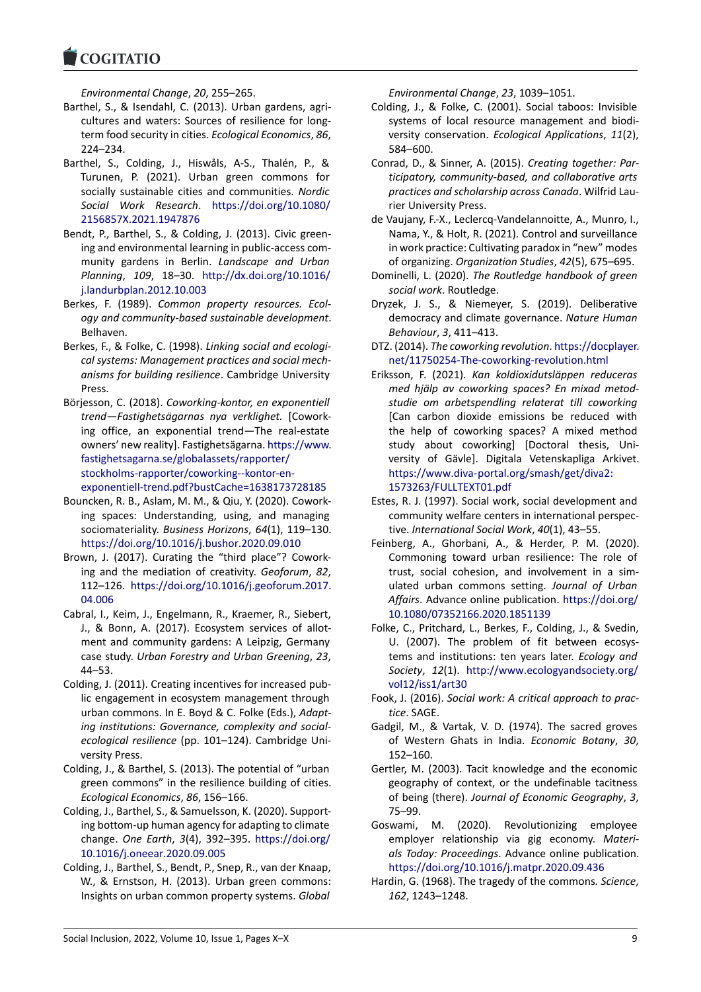**COGITATIO** 

*Environmental Change*, *20*, 255–265.

- Barthel, S., & Isendahl, C. (2013). Urban gardens, agri‐ cultures and waters: Sources of resilience for longterm food security in cities. *Ecological Economics*, *86*, 224–234.
- Barthel, S., Colding, J., Hiswåls, A‐S., Thalén, P., & Turunen, P. (2021). Urban green commons for socially sustainable cities and communities. *Nordic Social Work Research*. [https://doi.org/10.1080/](https://doi.org/10.1080/2156857X.2021.1947876) [2156857X.2021.1947876](https://doi.org/10.1080/2156857X.2021.1947876)
- Bendt, P., Barthel, S., & Colding, J. (2013). Civic green‐ ing and environmental learning in public‐access com‐ munity gardens in Berlin. *Landscape and Urban Planning*, *109*, 18–30. [http://dx.doi.org/10.1016/](http://dx.doi.org/10.1016/j.landurbplan.2012.10.003) [j.landurbplan.2012.10.003](http://dx.doi.org/10.1016/j.landurbplan.2012.10.003)
- Berkes, F. (1989). *Common property resources. Ecol‐ ogy and community‐based sustainable development*. Belhaven.
- Berkes, F., & Folke, C. (1998). *Linking social and ecologi‐ cal systems: Management practices and social mech‐ anisms for building resilience*. Cambridge University Press.
- Börjesson, C. (2018). *Coworking‐kontor, en exponentiell trend—Fastighetsägarnas nya verklighet.* [Cowork‐ ing office, an exponential trend—The real‐estate owners' new reality]. Fastighetsägarna. [https://www.](https://www.fastighetsagarna.se/globalassets/rapporter/stockholms-rapporter/coworking--kontor-en-exponentiell-trend.pdf?bustCache=1638173728185) [fastighetsagarna.se/globalassets/rapporter/](https://www.fastighetsagarna.se/globalassets/rapporter/stockholms-rapporter/coworking--kontor-en-exponentiell-trend.pdf?bustCache=1638173728185) [stockholms‐rapporter/coworking‐‐kontor‐en‐](https://www.fastighetsagarna.se/globalassets/rapporter/stockholms-rapporter/coworking--kontor-en-exponentiell-trend.pdf?bustCache=1638173728185) [exponentiell‐trend.pdf?bustCache=1638173728185](https://www.fastighetsagarna.se/globalassets/rapporter/stockholms-rapporter/coworking--kontor-en-exponentiell-trend.pdf?bustCache=1638173728185)
- Bouncken, R. B., Aslam, M. M., & Qiu, Y. (2020). Cowork‐ ing spaces: Understanding, using, and managing sociomateriality. *Business Horizons*, *64*(1), 119–130. <https://doi.org/10.1016/j.bushor.2020.09.010>
- Brown, J. (2017). Curating the "third place"? Cowork‐ ing and the mediation of creativity. *Geoforum*, *82*, 112–126. [https://doi.org/10.1016/j.geoforum.2017.](https://doi.org/10.1016/j.geoforum.2017.04.006) [04.006](https://doi.org/10.1016/j.geoforum.2017.04.006)
- Cabral, I., Keim, J., Engelmann, R., Kraemer, R., Siebert, J., & Bonn, A. (2017). Ecosystem services of allot‐ ment and community gardens: A Leipzig, Germany case study. *Urban Forestry and Urban Greening*, *23*, 44–53.
- Colding, J. (2011). Creating incentives for increased pub‐ lic engagement in ecosystem management through urban commons. In E. Boyd & C. Folke (Eds.), *Adapt‐ ing institutions: Governance, complexity and social‐ ecological resilience* (pp. 101–124). Cambridge Uni‐ versity Press.
- Colding, J., & Barthel, S. (2013). The potential of "urban green commons" in the resilience building of cities. *Ecological Economics*, *86*, 156–166.
- Colding, J., Barthel, S., & Samuelsson, K. (2020). Support‐ ing bottom‐up human agency for adapting to climate change. *One Earth*, *3*(4), 392–395. [https://doi.org/](https://doi.org/10.1016/j.oneear.2020.09.005) [10.1016/j.oneear.2020.09.005](https://doi.org/10.1016/j.oneear.2020.09.005)
- Colding, J., Barthel, S., Bendt, P., Snep, R., van der Knaap, W., & Ernstson, H. (2013). Urban green commons: Insights on urban common property systems. *Global*

*Environmental Change*, *23*, 1039–1051.

- Colding, J., & Folke, C. (2001). Social taboos: Invisible systems of local resource management and biodi‐ versity conservation. *Ecological Applications*, *11*(2), 584–600.
- Conrad, D., & Sinner, A. (2015). *Creating together: Par‐ ticipatory, community‐based, and collaborative arts practices and scholarship across Canada*. Wilfrid Lau‐ rier University Press.
- de Vaujany, F.‐X., Leclercq‐Vandelannoitte, A., Munro, I., Nama, Y., & Holt, R. (2021). Control and surveillance in work practice: Cultivating paradox in "new" modes of organizing. *Organization Studies*, *42*(5), 675–695.
- Dominelli, L. (2020). *The Routledge handbook of green social work*. Routledge.
- Dryzek, J. S., & Niemeyer, S. (2019). Deliberative democracy and climate governance. *Nature Human Behaviour*, *3*, 411–413.
- DTZ. (2014). *The coworking revolution*. [https://docplayer.](https://docplayer.net/11750254-The-coworking-revolution.html) [net/11750254‐The‐coworking‐revolution.html](https://docplayer.net/11750254-The-coworking-revolution.html)
- Eriksson, F. (2021). *Kan koldioxidutsläppen reduceras med hjälp av coworking spaces? En mixad metod‐ studie om arbetspendling relaterat till coworking* [Can carbon dioxide emissions be reduced with the help of coworking spaces? A mixed method study about coworking] [Doctoral thesis, Uni‐ versity of Gävle]. Digitala Vetenskapliga Arkivet. [https://www.diva‐portal.org/smash/get/diva2:](https://www.diva-portal.org/smash/get/diva2:1573263/FULLTEXT01.pdf) [1573263/FULLTEXT01.pdf](https://www.diva-portal.org/smash/get/diva2:1573263/FULLTEXT01.pdf)
- Estes, R. J. (1997). Social work, social development and community welfare centers in international perspec‐ tive. *International Social Work*, *40*(1), 43–55.
- Feinberg, A., Ghorbani, A., & Herder, P. M. (2020). Commoning toward urban resilience: The role of trust, social cohesion, and involvement in a sim‐ ulated urban commons setting. *Journal of Urban Affairs*. Advance online publication. [https://doi.org/](https://doi.org/10.1080/07352166.2020.1851139) [10.1080/07352166.2020.1851139](https://doi.org/10.1080/07352166.2020.1851139)
- Folke, C., Pritchard, L., Berkes, F., Colding, J., & Svedin, U. (2007). The problem of fit between ecosystems and institutions: ten years later. *Ecology and Society*, *12*(1). [http://www.ecologyandsociety.org/](http://www.ecologyandsociety.org/vol12/iss1/art30) [vol12/iss1/art30](http://www.ecologyandsociety.org/vol12/iss1/art30)
- Fook, J. (2016). *Social work: A critical approach to prac‐ tice*. SAGE.
- Gadgil, M., & Vartak, V. D. (1974). The sacred groves of Western Ghats in India. *Economic Botany*, *30*, 152–160.
- Gertler, M. (2003). Tacit knowledge and the economic geography of context, or the undefinable tacitness of being (there). *Journal of Economic Geography*, *3*, 75–99.
- Goswami, M. (2020). Revolutionizing employee employer relationship via gig economy. *Materi‐ als Today: Proceedings*. Advance online publication. <https://doi.org/10.1016/j.matpr.2020.09.436>
- Hardin, G. (1968). The tragedy of the commons*. Science*, *162*, 1243–1248.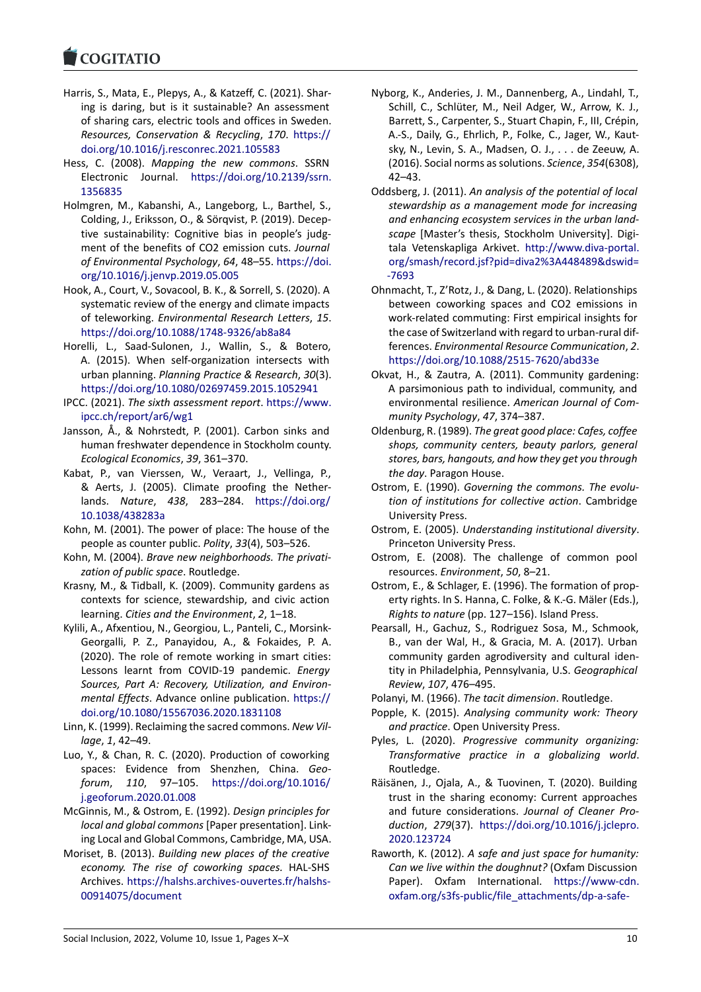- Harris, S., Mata, E., Plepys, A., & Katzeff, C. (2021). Shar‐ ing is daring, but is it sustainable? An assessment of sharing cars, electric tools and offices in Sweden. *Resources, Conservation & Recycling*, *170*. [https://](https://doi.org/10.1016/j.resconrec.2021.105583) [doi.org/10.1016/j.resconrec.2021.105583](https://doi.org/10.1016/j.resconrec.2021.105583)
- Hess, C. (2008). *Mapping the new commons*. SSRN Electronic Journal. [https://doi.org/10.2139/ssrn.](https://doi.org/10.2139/ssrn.1356835) [1356835](https://doi.org/10.2139/ssrn.1356835)
- Holmgren, M., Kabanshi, A., Langeborg, L., Barthel, S., Colding, J., Eriksson, O., & Sörqvist, P. (2019). Decep‐ tive sustainability: Cognitive bias in people's judg‐ ment of the benefits of CO2 emission cuts. *Journal of Environmental Psychology*, *64*, 48–55. [https://doi.](https://doi.org/10.1016/j.jenvp. 2019.05.005) [org/10.1016/j.jenvp.2019.05.005](https://doi.org/10.1016/j.jenvp. 2019.05.005)
- Hook, A., Court, V., Sovacool, B. K., & Sorrell, S. (2020). A systematic review of the energy and climate impacts of teleworking. *Environmental Research Letters*, *15*. [https://doi.org/10.1088/1748‐9326/ab8a84](https://doi.org/10.1088/1748-9326/ab8a84)
- Horelli, L., Saad‐Sulonen, J., Wallin, S., & Botero, A. (2015). When self‐organization intersects with urban planning. *Planning Practice & Research*, *30*(3). <https://doi.org/10.1080/02697459.2015.1052941>
- IPCC. (2021). *The sixth assessment report*. [https://www.](https://www.ipcc.ch/report/ar6/wg1) [ipcc.ch/report/ar6/wg1](https://www.ipcc.ch/report/ar6/wg1)
- Jansson, Å., & Nohrstedt, P. (2001). Carbon sinks and human freshwater dependence in Stockholm county. *Ecological Economics*, *39*, 361–370.
- Kabat, P., van Vierssen, W., Veraart, J., Vellinga, P., & Aerts, J. (2005). Climate proofing the Nether‐ lands. *Nature*, *438*, 283–284. [https://doi.org/](https://doi.org/10.1038/438283a) [10.1038/438283a](https://doi.org/10.1038/438283a)
- Kohn, M. (2001). The power of place: The house of the people as counter public. *Polity*, *33*(4), 503–526.
- Kohn, M. (2004). *Brave new neighborhoods. The privati‐ zation of public space*. Routledge.
- Krasny, M., & Tidball, K. (2009). Community gardens as contexts for science, stewardship, and civic action learning. *Cities and the Environment*, *2*, 1–18.
- Kylili, A., Afxentiou, N., Georgiou, L., Panteli, C., Morsink‐ Georgalli, P. Z., Panayidou, A., & Fokaides, P. A. (2020). The role of remote working in smart cities: Lessons learnt from COVID‐19 pandemic. *Energy Sources, Part A: Recovery, Utilization, and Environ‐ mental Effects*. Advance online publication. [https://](https://doi.org/10.1080/15567036.2020.1831108) [doi.org/10.1080/15567036.2020.1831108](https://doi.org/10.1080/15567036.2020.1831108)
- Linn, K. (1999). Reclaiming the sacred commons. *New Vil‐ lage*, *1*, 42–49.
- Luo, Y., & Chan, R. C. (2020). Production of coworking spaces: Evidence from Shenzhen, China. *Geo‐ forum*, *110*, 97–105. [https://doi.org/10.1016/](https://doi.org/10.1016/j.geoforum.2020.01.008) [j.geoforum.2020.01.008](https://doi.org/10.1016/j.geoforum.2020.01.008)
- McGinnis, M., & Ostrom, E. (1992). *Design principles for local and global commons* [Paper presentation]. Link‐ ing Local and Global Commons, Cambridge, MA, USA.
- Moriset, B. (2013). *Building new places of the creative economy. The rise of coworking spaces.* HAL‐SHS Archives. [https://halshs.archives‐ouvertes.fr/halshs‐](https://halshs.archives-ouvertes.fr/halshs-00914075/document) [00914075/document](https://halshs.archives-ouvertes.fr/halshs-00914075/document)
- Nyborg, K., Anderies, J. M., Dannenberg, A., Lindahl, T., Schill, C., Schlüter, M., Neil Adger, W., Arrow, K. J., Barrett, S., Carpenter, S., Stuart Chapin, F., III, Crépin, A.‐S., Daily, G., Ehrlich, P., Folke, C., Jager, W., Kaut‐ sky, N., Levin, S. A., Madsen, O. J., . . . de Zeeuw, A. (2016). Social norms as solutions. *Science*, *354*(6308), 42–43.
- Oddsberg, J. (2011). *An analysis of the potential of local stewardship as a management mode for increasing and enhancing ecosystem services in the urban land‐ scape* [Master's thesis, Stockholm University]. Digi‐ tala Vetenskapliga Arkivet. [http://www.diva‐portal.](http://www.diva-portal.org/smash/record.jsf?pid=diva2%3A448489&dswid=-7693) [org/smash/record.jsf?pid=diva2%3A448489&dswid=](http://www.diva-portal.org/smash/record.jsf?pid=diva2%3A448489&dswid=-7693) [‐7693](http://www.diva-portal.org/smash/record.jsf?pid=diva2%3A448489&dswid=-7693)
- Ohnmacht, T., Z'Rotz, J., & Dang, L. (2020). Relationships between coworking spaces and CO2 emissions in work‐related commuting: First empirical insights for the case of Switzerland with regard to urban‐rural dif‐ ferences. *Environmental Resource Communication*, *2*. [https://doi.org/10.1088/2515‐7620/abd33e](https://doi.org/10.1088/2515-7620/abd33e)
- Okvat, H., & Zautra, A. (2011). Community gardening: A parsimonious path to individual, community, and environmental resilience. *American Journal of Com‐ munity Psychology*, *47*, 374–387.
- Oldenburg, R. (1989). *The great good place: Cafes, coffee shops, community centers, beauty parlors, general stores, bars, hangouts, and how they get you through the day*. Paragon House.
- Ostrom, E. (1990). *Governing the commons. The evolu‐ tion of institutions for collective action*. Cambridge University Press.
- Ostrom, E. (2005). *Understanding institutional diversity*. Princeton University Press.
- Ostrom, E. (2008). The challenge of common pool resources. *Environment*, *50*, 8–21.
- Ostrom, E., & Schlager, E. (1996). The formation of prop‐ erty rights. In S. Hanna, C. Folke, & K.‐G. Mäler (Eds.), *Rights to nature* (pp. 127–156). Island Press.
- Pearsall, H., Gachuz, S., Rodriguez Sosa, M., Schmook, B., van der Wal, H., & Gracia, M. A. (2017). Urban community garden agrodiversity and cultural iden‐ tity in Philadelphia, Pennsylvania, U.S. *Geographical Review*, *107*, 476–495.
- Polanyi, M. (1966). *The tacit dimension*. Routledge.
- Popple, K. (2015). *Analysing community work: Theory and practice*. Open University Press.
- Pyles, L. (2020). *Progressive community organizing: Transformative practice in a globalizing world*. Routledge.
- Räisänen, J., Ojala, A., & Tuovinen, T. (2020). Building trust in the sharing economy: Current approaches and future considerations. *Journal of Cleaner Pro‐ duction*, *279*(37). [https://doi.org/10.1016/j.jclepro.](https://doi.org/10.1016/j.jclepro.2020.123724) [2020.123724](https://doi.org/10.1016/j.jclepro.2020.123724)
- Raworth, K. (2012). *A safe and just space for humanity: Can we live within the doughnut?* (Oxfam Discussion Paper). Oxfam International. [https://www‐cdn.](https://www-cdn.oxfam.org/s3fs-public/file_attachments/dp-a-safe-and-just-space-for-humanity-130212-en_5.pdf) [oxfam.org/s3fs‐public/file\\_attachments/dp‐a‐safe‐](https://www-cdn.oxfam.org/s3fs-public/file_attachments/dp-a-safe-and-just-space-for-humanity-130212-en_5.pdf)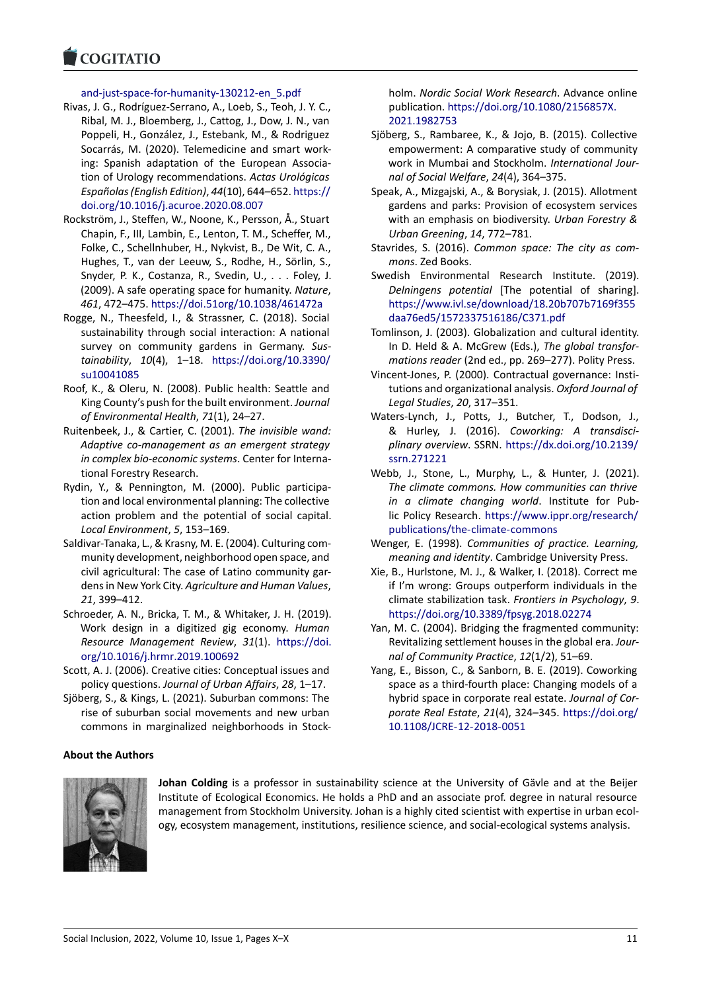#### and-just-space-for-humanity-130212-en\_5.pdf

- Rivas, J. G., Rodríguez‐Serrano, A., Loeb, S., Teoh, J. Y. C., Ribal, M. J., Bloemberg, J., Cattog, J., Dow, J. N., van Poppeli, H., González, J., Estebank, M., & Rodriguez Socarrás, M. (2020). Telemedicine and smart work‐ ing: Spanish adaptation of the European Associa‐ tion of Urology recommendations. *Actas Urológicas Españolas (English Edition)*, *44*(10), 644–652. [https://](https://doi.org/10.1016/j.acuroe.2020.08.007) [doi.org/10.1016/j.acuroe.2020.08.007](https://doi.org/10.1016/j.acuroe.2020.08.007)
- Rockström, J., Steffen, W., Noone, K., Persson, Å., Stuart Chapin, F., III, Lambin, E., Lenton, T. M., Scheffer, M., Folke, C., Schellnhuber, H., Nykvist, B., De Wit, C. A., Hughes, T., van der Leeuw, S., Rodhe, H., Sörlin, S., Snyder, P. K., Costanza, R., Svedin, U., . . . Foley, J. (2009). A safe operating space for humanity. *Nature*, *461*, 472–475. [https://doi.51org/10.1038/461472a](https://doi. 51 org/10.1038/461472a)
- Rogge, N., Theesfeld, I., & Strassner, C. (2018). Social sustainability through social interaction: A national survey on community gardens in Germany. *Sus‐ tainability*, *10*(4), 1–18. [https://doi.org/10.3390/](https://doi.org/10.3390/su10041085) [su10041085](https://doi.org/10.3390/su10041085)
- Roof, K., & Oleru, N. (2008). Public health: Seattle and King County's push for the built environment. *Journal of Environmental Health*, *71*(1), 24–27.
- Ruitenbeek, J., & Cartier, C. (2001). *The invisible wand: Adaptive co‐management as an emergent strategy in complex bio‐economic systems*. Center for Interna‐ tional Forestry Research.
- Rydin, Y., & Pennington, M. (2000). Public participa‐ tion and local environmental planning: The collective action problem and the potential of social capital. *Local Environment*, *5*, 153–169.
- Saldivar‐Tanaka, L., & Krasny, M. E. (2004). Culturing com‐ munity development, neighborhood open space, and civil agricultural: The case of Latino community gar‐ dens in New York City. *Agriculture and Human Values*, *21*, 399–412.
- Schroeder, A. N., Bricka, T. M., & Whitaker, J. H. (2019). Work design in a digitized gig economy. *Human Resource Management Review*, *31*(1). [https://doi.](https://doi.org/10.1016/j.hrmr.2019.100692) [org/10.1016/j.hrmr.2019.100692](https://doi.org/10.1016/j.hrmr.2019.100692)
- Scott, A. J. (2006). Creative cities: Conceptual issues and policy questions. *Journal of Urban Affairs*, *28*, 1–17.
- Sjöberg, S., & Kings, L. (2021). Suburban commons: The rise of suburban social movements and new urban commons in marginalized neighborhoods in Stock‐

#### **About the Authors**



**Johan Colding** is a professor in sustainability science at the University of Gävle and at the Beijer Institute of Ecological Economics. He holds a PhD and an associate prof. degree in natural resource management from Stockholm University. Johan is a highly cited scientist with expertise in urban ecol‐ ogy, ecosystem management, institutions, resilience science, and social‐ecological systems analysis.

holm. *Nordic Social Work Research*. Advance online publication. [https://doi.org/10.1080/2156857X.](https://doi.org/10.1080/2156857X.2021.1982753) [2021.1982753](https://doi.org/10.1080/2156857X.2021.1982753)

- Sjöberg, S., Rambaree, K., & Jojo, B. (2015). Collective empowerment: A comparative study of community work in Mumbai and Stockholm. *International Jour‐ nal of Social Welfare*, *24*(4), 364–375.
- Speak, A., Mizgajski, A., & Borysiak, J. (2015). Allotment gardens and parks: Provision of ecosystem services with an emphasis on biodiversity. *Urban Forestry & Urban Greening*, *14*, 772–781.
- Stavrides, S. (2016). *Common space: The city as com‐ mons*. Zed Books.
- Swedish Environmental Research Institute. (2019). *Delningens potential* [The potential of sharing]. [https://www.ivl.se/download/18.20b707b7169f355](https://www.ivl.se/download/18.20b707b7169f355daa76ed5/1572337516186/C371.pdf) [daa76ed5/1572337516186/C371.pdf](https://www.ivl.se/download/18.20b707b7169f355daa76ed5/1572337516186/C371.pdf)
- Tomlinson, J. (2003). Globalization and cultural identity. In D. Held & A. McGrew (Eds.), *The global transfor‐ mations reader* (2nd ed., pp. 269–277). Polity Press.
- Vincent‐Jones, P. (2000). Contractual governance: Insti‐ tutions and organizational analysis. *Oxford Journal of Legal Studies*, *20*, 317–351.
- Waters‐Lynch, J., Potts, J., Butcher, T., Dodson, J., & Hurley, J. (2016). *Coworking: A transdisci‐ plinary overview*. SSRN. [https://dx.doi.org/10.2139/](https://dx.doi.org/10.2139/ssrn.271221) [ssrn.271221](https://dx.doi.org/10.2139/ssrn.271221)
- Webb, J., Stone, L., Murphy, L., & Hunter, J. (2021). *The climate commons. How communities can thrive in a climate changing world*. Institute for Pub‐ lic Policy Research. [https://www.ippr.org/research/](https://www.ippr.org/research/publications/the-climate-commons) [publications/the‐climate‐commons](https://www.ippr.org/research/publications/the-climate-commons)
- Wenger, E. (1998). *Communities of practice. Learning, meaning and identity*. Cambridge University Press.
- Xie, B., Hurlstone, M. J., & Walker, I. (2018). Correct me if I'm wrong: Groups outperform individuals in the climate stabilization task. *Frontiers in Psychology*, *9*. <https://doi.org/10.3389/fpsyg.2018.02274>
- Yan, M. C. (2004). Bridging the fragmented community: Revitalizing settlement houses in the global era. *Jour‐ nal of Community Practice*, *12*(1/2), 51–69.
- Yang, E., Bisson, C., & Sanborn, B. E. (2019). Coworking space as a third‐fourth place: Changing models of a hybrid space in corporate real estate. *Journal of Cor‐ porate Real Estate*, *21*(4), 324–345. [https://doi.org/](https://doi.org/10.1108/JCRE-12-2018-0051) [10.1108/JCRE‐12‐2018‐0051](https://doi.org/10.1108/JCRE-12-2018-0051)